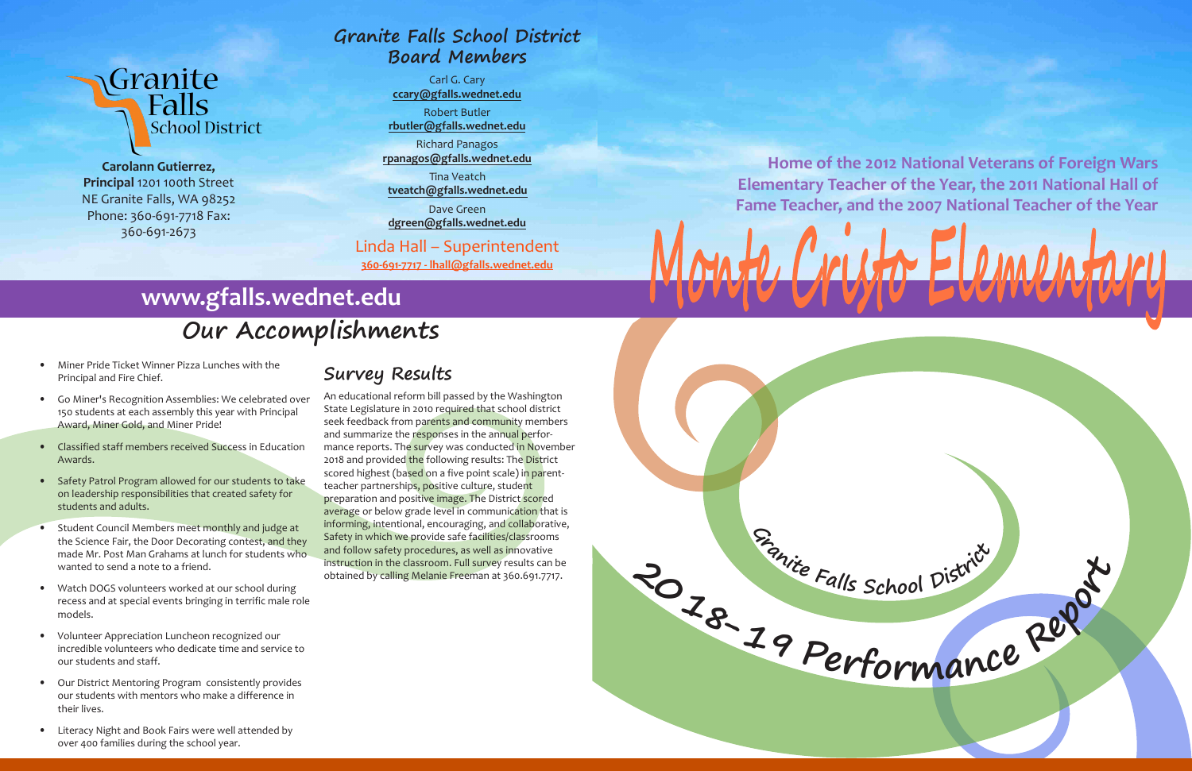

**<sup>G</sup>ranit<sup>e</sup> <sup>F</sup>all<sup>s</sup> <sup>S</sup>cho<sup>o</sup><sup>l</sup> <sup>D</sup>istric<sup>t</sup>**

## Granite<br>Ralls **School District**

**Carolann Gutierrez, Principal** 1201 100th Street NE Granite Falls, WA 98252 Phone: 360-691-7718 Fax: 360-691-2673

- Miner Pride Ticket Winner Pizza Lunches with the Principal and Fire Chief.
- Go Miner's Recognition Assemblies: We celebrated over 150 students at each assembly this year with Principal Award, Miner Gold, and Miner Pride!
- Classified staff members received Success in Education Awards.
- Safety Patrol Program allowed for our students to take on leadership responsibilities that created safety for students and adults.
- Student Council Members meet monthly and judge at the Science Fair, the Door Decorating contest, and they made Mr. Post Man Grahams at lunch for students who wanted to send a note to a friend.
- Watch DOGS volunteers worked at our school during recess and at special events bringing in terrific male role models.
- Volunteer Appreciation Luncheon recognized our incredible volunteers who dedicate time and service to our students and staff.
- Our District Mentoring Program consistently provides our students with mentors who make a difference in their lives.
- Literacy Night and Book Fairs were well attended by over 400 families during the school year.

## **Our Accomplishments**

## **www.gfalls.wednet.edu**

**Home of the 2012 National Veterans of Foreign Wars Elementary Teacher of the Year, the 2011 National Hall of Fame Teacher, and the 2007 National Teacher of the Year**

# $A \cup P$  is the

## **Survey Results**

An educational reform bill passed by the Washington State Legislature in 2010 required that school district seek feedback from parents and community members and summarize the responses in the annual performance reports. The survey was conducted in November 2018 and provided the following results: The District scored highest (based on a five point scale) in parentteacher partnerships, positive culture, student preparation and positive image. The District scored average or below grade level in communication that is informing, intentional, encouraging, and collaborative, Safety in which we provide safe facilities/classrooms and follow safety procedures, as well as innovative instruction in the classroom. Full survey results can be obtained by calling Melanie Freeman at 360.691.7717.

#### **Granite Falls School District Board Members**

Carl G. Cary **ccary@gfalls.wednet.edu**

Robert Butler **rbutler@gfalls.wednet.edu**

Richard Panagos **rpanagos@gfalls.wednet.edu**

Tina Veatch **tveatch@gfalls.wednet.edu**

Dave Green **dgreen@gfalls.wednet.edu**

#### Linda Hall – Superintendent

**360-691-7717 - lhall@gfalls.wednet.edu**